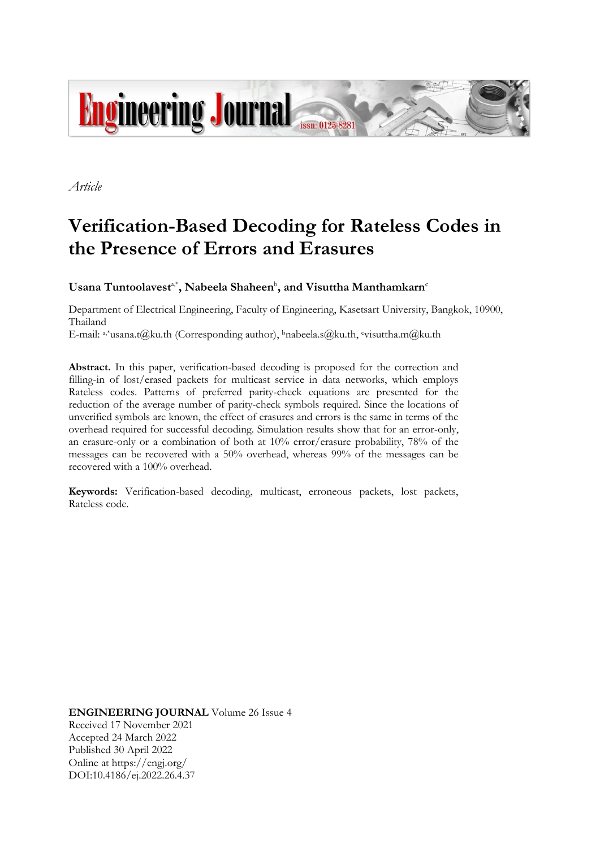

*Article*

# **Verification-Based Decoding for Rateless Codes in the Presence of Errors and Erasures**

 $\boldsymbol{\mathrm{U}}$ sana Tuntoolavest<sup>a,\*</sup>, Nabeela Shaheen<sup>b</sup>, and Visuttha Manthamkarn<sup>c</sup>

Department of Electrical Engineering, Faculty of Engineering, Kasetsart University, Bangkok, 10900, Thailand

E-mail: a,\*usana.t@ku.th (Corresponding author), <sup>b</sup>[nabeela.s@ku.th,](mailto:nabeela.s@ku.th)  <sup>c</sup>[visuttha.m@ku.th](mailto:visuttha.m@ku.th)

**Abstract.** In this paper, verification-based decoding is proposed for the correction and filling-in of lost/erased packets for multicast service in data networks, which employs Rateless codes. Patterns of preferred parity-check equations are presented for the reduction of the average number of parity-check symbols required. Since the locations of unverified symbols are known, the effect of erasures and errors is the same in terms of the overhead required for successful decoding. Simulation results show that for an error-only, an erasure-only or a combination of both at 10% error/erasure probability, 78% of the messages can be recovered with a 50% overhead, whereas 99% of the messages can be recovered with a 100% overhead.

**Keywords:** Verification-based decoding, multicast, erroneous packets, lost packets, Rateless code.

**ENGINEERING JOURNAL** Volume 26 Issue 4 Received 17 November 2021 Accepted 24 March 2022 Published 30 April 2022 Online at https://engj.org/ DOI:10.4186/ej.2022.26.4.37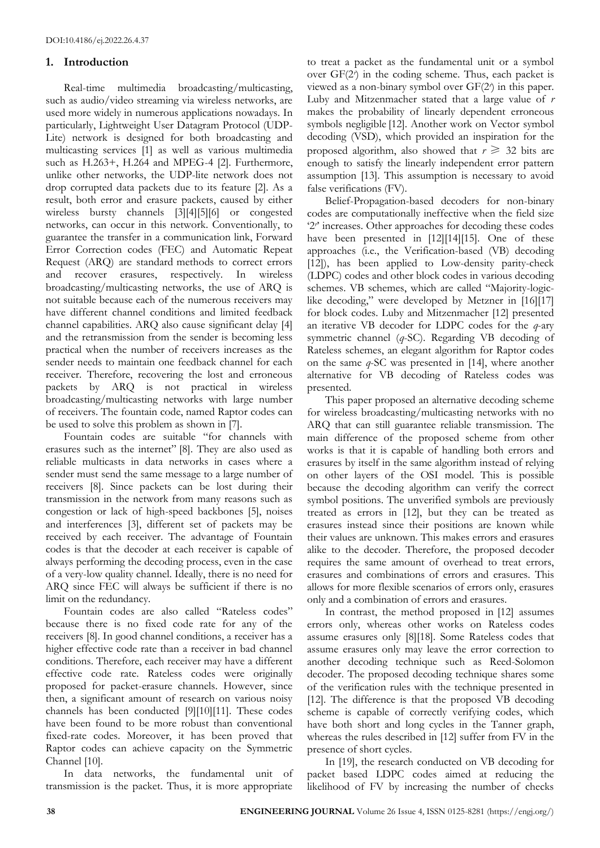## **1. Introduction**

Real-time multimedia broadcasting/multicasting, such as audio/video streaming via wireless networks, are used more widely in numerous applications nowadays. In particularly, Lightweight User Datagram Protocol (UDP-Lite) network is designed for both broadcasting and multicasting services [1] as well as various multimedia such as H.263+, H.264 and MPEG-4 [2]. Furthermore, unlike other networks, the UDP-lite network does not drop corrupted data packets due to its feature [2]. As a result, both error and erasure packets, caused by either wireless bursty channels [3][4][5][6] or congested networks, can occur in this network. Conventionally, to guarantee the transfer in a communication link, Forward Error Correction codes (FEC) and Automatic Repeat Request (ARQ) are standard methods to correct errors and recover erasures, respectively. In wireless broadcasting/multicasting networks, the use of ARQ is not suitable because each of the numerous receivers may have different channel conditions and limited feedback channel capabilities. ARQ also cause significant delay [4] and the retransmission from the sender is becoming less practical when the number of receivers increases as the sender needs to maintain one feedback channel for each receiver. Therefore, recovering the lost and erroneous packets by ARQ is not practical in wireless broadcasting/multicasting networks with large number of receivers. The fountain code, named Raptor codes can be used to solve this problem as shown in [7].

Fountain codes are suitable "for channels with erasures such as the internet" [8]. They are also used as reliable multicasts in data networks in cases where a sender must send the same message to a large number of receivers [8]. Since packets can be lost during their transmission in the network from many reasons such as congestion or lack of high-speed backbones [5], noises and interferences [3], different set of packets may be received by each receiver. The advantage of Fountain codes is that the decoder at each receiver is capable of always performing the decoding process, even in the case of a very-low quality channel. Ideally, there is no need for ARQ since FEC will always be sufficient if there is no limit on the redundancy.

Fountain codes are also called "Rateless codes" because there is no fixed code rate for any of the receivers [8]. In good channel conditions, a receiver has a higher effective code rate than a receiver in bad channel conditions. Therefore, each receiver may have a different effective code rate. Rateless codes were originally proposed for packet-erasure channels. However, since then, a significant amount of research on various noisy channels has been conducted [9][10][11]. These codes have been found to be more robust than conventional fixed-rate codes. Moreover, it has been proved that Raptor codes can achieve capacity on the Symmetric Channel [10].

In data networks, the fundamental unit of transmission is the packet. Thus, it is more appropriate

to treat a packet as the fundamental unit or a symbol over GF(2*<sup>r</sup>* ) in the coding scheme. Thus, each packet is viewed as a non-binary symbol over GF(2*<sup>r</sup>* ) in this paper. Luby and Mitzenmacher stated that a large value of *r* makes the probability of linearly dependent erroneous symbols negligible [12]. Another work on Vector symbol decoding (VSD), which provided an inspiration for the proposed algorithm, also showed that  $r \geq 32$  bits are enough to satisfy the linearly independent error pattern assumption [13]. This assumption is necessary to avoid false verifications (FV).

Belief-Propagation-based decoders for non-binary codes are computationally ineffective when the field size '2<sup>*r*</sup> increases. Other approaches for decoding these codes have been presented in [12][14][15]. One of these approaches (i.e., the Verification-based (VB) decoding [12]), has been applied to Low-density parity-check (LDPC) codes and other block codes in various decoding schemes. VB schemes, which are called "Majority-logiclike decoding," were developed by Metzner in [16][17] for block codes. Luby and Mitzenmacher [12] presented an iterative VB decoder for LDPC codes for the *q*-ary symmetric channel (*q*-SC). Regarding VB decoding of Rateless schemes, an elegant algorithm for Raptor codes on the same *q*-SC was presented in [14], where another alternative for VB decoding of Rateless codes was presented.

This paper proposed an alternative decoding scheme for wireless broadcasting/multicasting networks with no ARQ that can still guarantee reliable transmission. The main difference of the proposed scheme from other works is that it is capable of handling both errors and erasures by itself in the same algorithm instead of relying on other layers of the OSI model. This is possible because the decoding algorithm can verify the correct symbol positions. The unverified symbols are previously treated as errors in [12], but they can be treated as erasures instead since their positions are known while their values are unknown. This makes errors and erasures alike to the decoder. Therefore, the proposed decoder requires the same amount of overhead to treat errors, erasures and combinations of errors and erasures. This allows for more flexible scenarios of errors only, erasures only and a combination of errors and erasures.

In contrast, the method proposed in [12] assumes errors only, whereas other works on Rateless codes assume erasures only [8][18]. Some Rateless codes that assume erasures only may leave the error correction to another decoding technique such as Reed-Solomon decoder. The proposed decoding technique shares some of the verification rules with the technique presented in [12]. The difference is that the proposed VB decoding scheme is capable of correctly verifying codes, which have both short and long cycles in the Tanner graph, whereas the rules described in [12] suffer from FV in the presence of short cycles.

In [19], the research conducted on VB decoding for packet based LDPC codes aimed at reducing the likelihood of FV by increasing the number of checks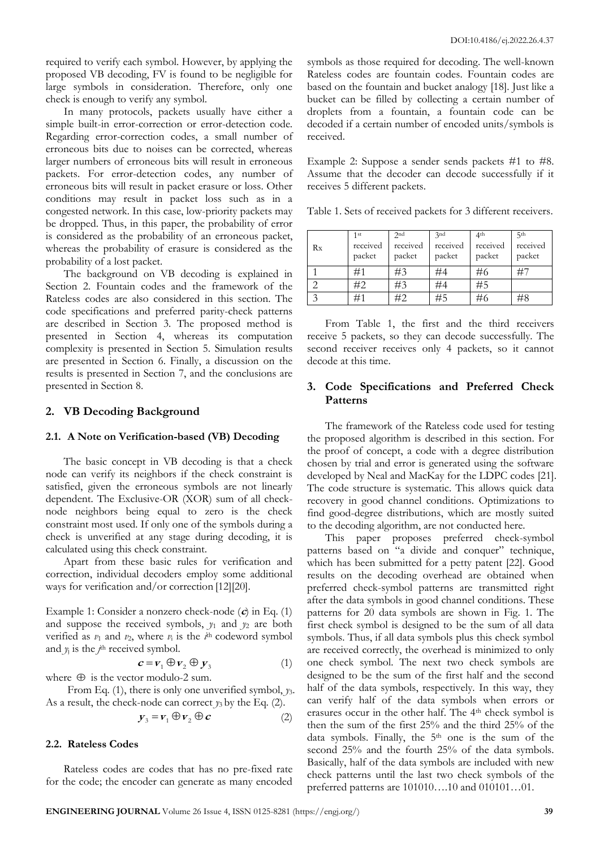required to verify each symbol. However, by applying the proposed VB decoding, FV is found to be negligible for large symbols in consideration. Therefore, only one check is enough to verify any symbol.

In many protocols, packets usually have either a simple built-in error-correction or error-detection code. Regarding error-correction codes, a small number of erroneous bits due to noises can be corrected, whereas larger numbers of erroneous bits will result in erroneous packets. For error-detection codes, any number of erroneous bits will result in packet erasure or loss. Other conditions may result in packet loss such as in a congested network. In this case, low-priority packets may be dropped. Thus, in this paper, the probability of error is considered as the probability of an erroneous packet, whereas the probability of erasure is considered as the probability of a lost packet.

The background on VB decoding is explained in Section 2. Fountain codes and the framework of the Rateless codes are also considered in this section. The code specifications and preferred parity-check patterns are described in Section 3. The proposed method is presented in Section 4, whereas its computation complexity is presented in Section 5. Simulation results are presented in Section 6. Finally, a discussion on the results is presented in Section 7, and the conclusions are presented in Section 8.

## **2. VB Decoding Background**

#### **2.1. A Note on Verification-based (VB) Decoding**

The basic concept in VB decoding is that a check node can verify its neighbors if the check constraint is satisfied, given the erroneous symbols are not linearly dependent. The Exclusive-OR (XOR) sum of all checknode neighbors being equal to zero is the check constraint most used. If only one of the symbols during a check is unverified at any stage during decoding, it is calculated using this check constraint.

Apart from these basic rules for verification and correction, individual decoders employ some additional ways for verification and/or correction [12][20].

Example 1: Consider a nonzero check-node (**c**) in Eq. (1) and suppose the received symbols,  $y_1$  and  $y_2$  are both verified as  $v_1$  and  $v_2$ , where  $v_i$  is the  $i$ <sup>th</sup> codeword symbol and  $y_j$  is the  $j^{\text{th}}$  received symbol.

$$
\mathbf{c} = \mathbf{v}_1 \oplus \mathbf{v}_2 \oplus \mathbf{y}_3 \tag{1}
$$

where  $\oplus$  is the vector modulo-2 sum.

From Eq. (1), there is only one unverified symbol, *y*3. As a result, the check-node can correct  $y_3$  by the Eq. (2).

$$
y_3 = v_1 \oplus v_2 \oplus c \tag{2}
$$

## **2.2. Rateless Codes**

Rateless codes are codes that has no pre-fixed rate for the code; the encoder can generate as many encoded symbols as those required for decoding. The well-known Rateless codes are fountain codes. Fountain codes are based on the fountain and bucket analogy [18]. Just like a bucket can be filled by collecting a certain number of droplets from a fountain, a fountain code can be decoded if a certain number of encoded units/symbols is received.

Example 2: Suppose a sender sends packets #1 to #8. Assume that the decoder can decode successfully if it receives 5 different packets.

Table 1. Sets of received packets for 3 different receivers.

| Rx | 1st<br>received<br>packet | 2nd<br>received<br>packet | 3nd<br>received<br>packet | 4 <sup>th</sup><br>received<br>packet | 5th<br>received<br>packet |
|----|---------------------------|---------------------------|---------------------------|---------------------------------------|---------------------------|
|    | #1                        | #3                        | #4                        | #6                                    |                           |
|    | #2                        | #3                        | #4                        | #5                                    |                           |
| ⌒  | #1                        | #2                        |                           | #6                                    | #8                        |

From Table 1, the first and the third receivers receive 5 packets, so they can decode successfully. The second receiver receives only 4 packets, so it cannot decode at this time.

## **3. Code Specifications and Preferred Check Patterns**

The framework of the Rateless code used for testing the proposed algorithm is described in this section. For the proof of concept, a code with a degree distribution chosen by trial and error is generated using the software developed by Neal and MacKay for the LDPC codes [21]. The code structure is systematic. This allows quick data recovery in good channel conditions. Optimizations to find good-degree distributions, which are mostly suited to the decoding algorithm, are not conducted here.

This paper proposes preferred check-symbol patterns based on "a divide and conquer" technique, which has been submitted for a petty patent [22]. Good results on the decoding overhead are obtained when preferred check-symbol patterns are transmitted right after the data symbols in good channel conditions. These patterns for 20 data symbols are shown in Fig. 1. The first check symbol is designed to be the sum of all data symbols. Thus, if all data symbols plus this check symbol are received correctly, the overhead is minimized to only one check symbol. The next two check symbols are designed to be the sum of the first half and the second half of the data symbols, respectively. In this way, they can verify half of the data symbols when errors or erasures occur in the other half. The 4th check symbol is then the sum of the first 25% and the third 25% of the data symbols. Finally, the  $5<sup>th</sup>$  one is the sum of the second 25% and the fourth 25% of the data symbols. Basically, half of the data symbols are included with new check patterns until the last two check symbols of the preferred patterns are 101010….10 and 010101…01.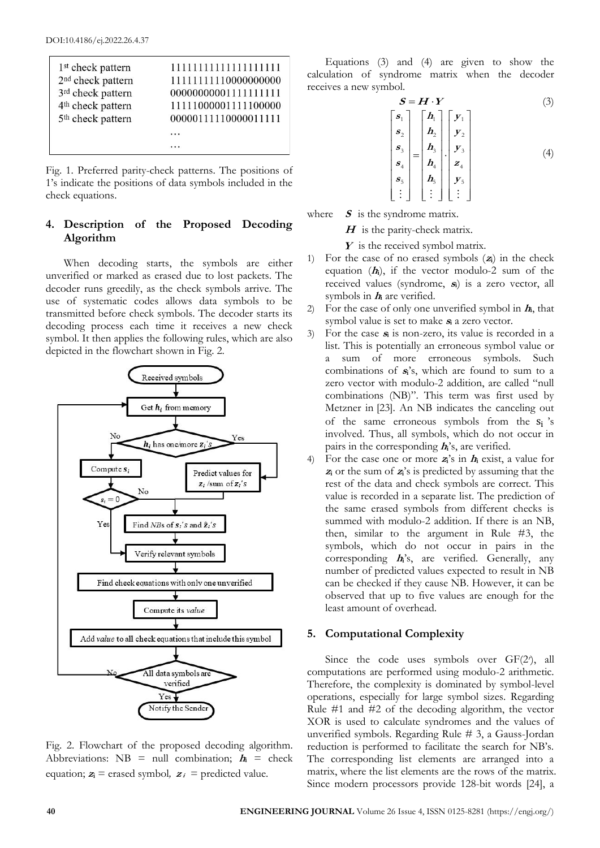| 1 <sup>st</sup> check pattern | 1111111111111111111  |
|-------------------------------|----------------------|
| 2 <sup>nd</sup> check pattern | 11111111110000000000 |
| 3rd check pattern             | 00000000001111111111 |
| 4 <sup>th</sup> check pattern | 11111000001111100000 |
| 5 <sup>th</sup> check pattern | 00000111110000011111 |

Fig. 1. Preferred parity-check patterns. The positions of 1's indicate the positions of data symbols included in the check equations.

# **4. Description of the Proposed Decoding Algorithm**

When decoding starts, the symbols are either unverified or marked as erased due to lost packets. The decoder runs greedily, as the check symbols arrive. The use of systematic codes allows data symbols to be transmitted before check symbols. The decoder starts its decoding process each time it receives a new check symbol. It then applies the following rules, which are also depicted in the flowchart shown in Fig. 2.



Fig. 2. Flowchart of the proposed decoding algorithm. Abbreviations:  $NB = null$  combination;  $h_i =$  check equation;  $z_i$ <sup> $=$ </sup> erased symbol,  $z_i$ <sup> $=$ </sup> predicted value.

Equations (3) and (4) are given to show the calculation of syndrome matrix when the decoder receives a new symbol.

$$
S = H \cdot Y \tag{3}
$$
\n
$$
\begin{bmatrix} s_1 \\ s_2 \end{bmatrix} \begin{bmatrix} h_1 \\ h_2 \end{bmatrix} \begin{bmatrix} y_1 \\ y_2 \end{bmatrix}
$$

$$
\begin{bmatrix}\n\mathbf{s}_2 \\
\mathbf{s}_3 \\
\mathbf{s}_4 \\
\mathbf{s}_5 \\
\vdots\n\end{bmatrix} =\n\begin{bmatrix}\n\mathbf{h}_2 \\
\mathbf{h}_3 \\
\mathbf{h}_4 \\
\mathbf{h}_4 \\
\mathbf{s}_5 \\
\vdots\n\end{bmatrix} \cdot\n\begin{bmatrix}\n\mathbf{v}_1 \\
\mathbf{v}_2 \\
\mathbf{v}_3 \\
\mathbf{v}_4 \\
\mathbf{v}_5 \\
\vdots\n\end{bmatrix}
$$
\n(4)

where **S** is the syndrome matrix.

**H** is the parity-check matrix.

Y is the received symbol matrix.

- 1) For the case of no erased symbols (**<sup>z</sup>i**) in the check equation  $(h_i)$ , if the vector modulo-2 sum of the received values (syndrome, **<sup>s</sup>i**) is a zero vector, all symbols in **<sup>h</sup><sup>i</sup>** are verified.
- 2) For the case of only one unverified symbol in **<sup>h</sup>i**, that symbol value is set to make **<sup>s</sup><sup>i</sup>** a zero vector.
- 3) For the case **<sup>s</sup><sup>i</sup>** is non-zero, its value is recorded in a list. This is potentially an erroneous symbol value or a sum of more erroneous symbols. Such combinations of **<sup>s</sup>i**'s, which are found to sum to a zero vector with modulo-2 addition, are called "null combinations (NB)". This term was first used by Metzner in [23]. An NB indicates the canceling out of the same erroneous symbols from the  $s_i$ 's involved. Thus, all symbols, which do not occur in pairs in the corresponding **<sup>h</sup>i**'s, are verified.
- 4) For the case one or more  $z_i$ <sup>t</sup>'s in  $h_i$  exist, a value for **z**<sub>i</sub> or the sum of  $z_i$ <sup>'s</sup> is predicted by assuming that the rest of the data and check symbols are correct. This value is recorded in a separate list. The prediction of the same erased symbols from different checks is summed with modulo-2 addition. If there is an NB, then, similar to the argument in Rule #3, the symbols, which do not occur in pairs in the corresponding **<sup>h</sup>i**'s, are verified. Generally, any number of predicted values expected to result in NB can be checked if they cause NB. However, it can be observed that up to five values are enough for the least amount of overhead.

## **5. Computational Complexity**

Since the code uses symbols over GF(2<sup>r</sup>), all computations are performed using modulo-2 arithmetic. Therefore, the complexity is dominated by symbol-level operations, especially for large symbol sizes. Regarding Rule #1 and #2 of the decoding algorithm, the vector XOR is used to calculate syndromes and the values of unverified symbols. Regarding Rule # 3, a Gauss-Jordan reduction is performed to facilitate the search for NB's. The corresponding list elements are arranged into a matrix, where the list elements are the rows of the matrix. Since modern processors provide 128-bit words [24], a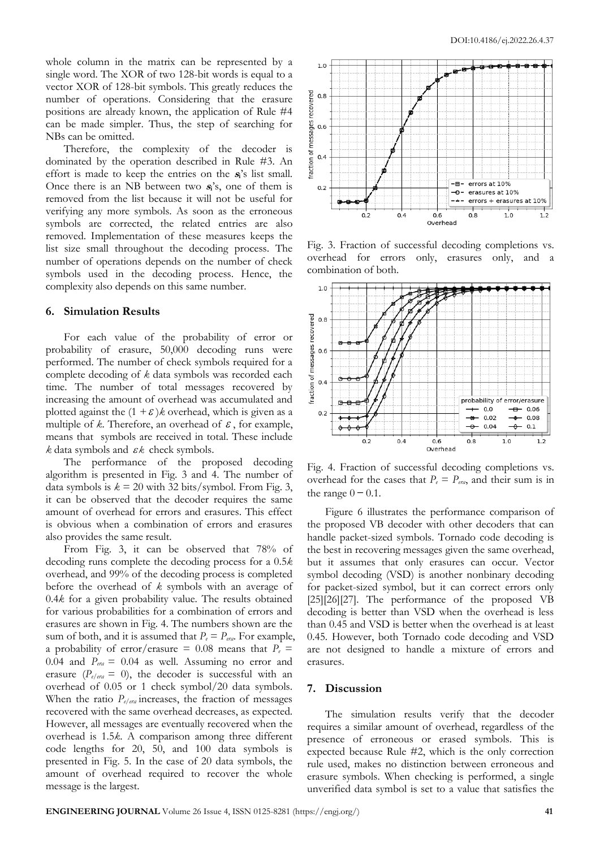whole column in the matrix can be represented by a single word. The XOR of two 128-bit words is equal to a vector XOR of 128-bit symbols. This greatly reduces the number of operations. Considering that the erasure positions are already known, the application of Rule #4 can be made simpler. Thus, the step of searching for NBs can be omitted.

Therefore, the complexity of the decoder is dominated by the operation described in Rule #3. An effort is made to keep the entries on the **<sup>s</sup>i**'s list small. Once there is an NB between two **<sup>s</sup>i**'s, one of them is removed from the list because it will not be useful for verifying any more symbols. As soon as the erroneous symbols are corrected, the related entries are also removed. Implementation of these measures keeps the list size small throughout the decoding process. The number of operations depends on the number of check symbols used in the decoding process. Hence, the complexity also depends on this same number.

#### **6. Simulation Results**

For each value of the probability of error or probability of erasure, 50,000 decoding runs were performed. The number of check symbols required for a complete decoding of *k* data symbols was recorded each time. The number of total messages recovered by increasing the amount of overhead was accumulated and plotted against the  $(1 + \varepsilon)$ *k* overhead, which is given as a multiple of  $k$ . Therefore, an overhead of  $\epsilon$ , for example, means that symbols are received in total. These include  $k$  data symbols and  $\varepsilon k$  check symbols.

The performance of the proposed decoding algorithm is presented in Fig. 3 and 4. The number of data symbols is  $k = 20$  with 32 bits/symbol. From Fig. 3, it can be observed that the decoder requires the same amount of overhead for errors and erasures. This effect is obvious when a combination of errors and erasures also provides the same result.

From Fig. 3, it can be observed that 78% of decoding runs complete the decoding process for a 0.5*k* overhead, and 99% of the decoding process is completed before the overhead of *k* symbols with an average of 0.4*k* for a given probability value. The results obtained for various probabilities for a combination of errors and erasures are shown in Fig. 4. The numbers shown are the sum of both, and it is assumed that  $P_e = P_{era}$ . For example, a probability of error/erasure = 0.08 means that  $P_e$  = 0.04 and  $P_{\text{era}} = 0.04$  as well. Assuming no error and erasure ( $P_{e/era} = 0$ ), the decoder is successful with an overhead of 0.05 or 1 check symbol/20 data symbols. When the ratio *Pe/era* increases, the fraction of messages recovered with the same overhead decreases, as expected. However, all messages are eventually recovered when the overhead is 1.5*k*. A comparison among three different code lengths for 20, 50, and 100 data symbols is presented in Fig. 5. In the case of 20 data symbols, the amount of overhead required to recover the whole message is the largest.



Fig. 3. Fraction of successful decoding completions vs. overhead for errors only, erasures only, and a combination of both.



Fig. 4. Fraction of successful decoding completions vs. overhead for the cases that  $P_e = P_{era}$ , and their sum is in the range  $0 - 0.1$ .

Figure 6 illustrates the performance comparison of the proposed VB decoder with other decoders that can handle packet-sized symbols. Tornado code decoding is the best in recovering messages given the same overhead, but it assumes that only erasures can occur. Vector symbol decoding (VSD) is another nonbinary decoding for packet-sized symbol, but it can correct errors only [25][26][27]. The performance of the proposed VB decoding is better than VSD when the overhead is less than 0.45 and VSD is better when the overhead is at least 0.45. However, both Tornado code decoding and VSD are not designed to handle a mixture of errors and erasures.

#### **7. Discussion**

The simulation results verify that the decoder requires a similar amount of overhead, regardless of the presence of erroneous or erased symbols. This is expected because Rule #2, which is the only correction rule used, makes no distinction between erroneous and erasure symbols. When checking is performed, a single unverified data symbol is set to a value that satisfies the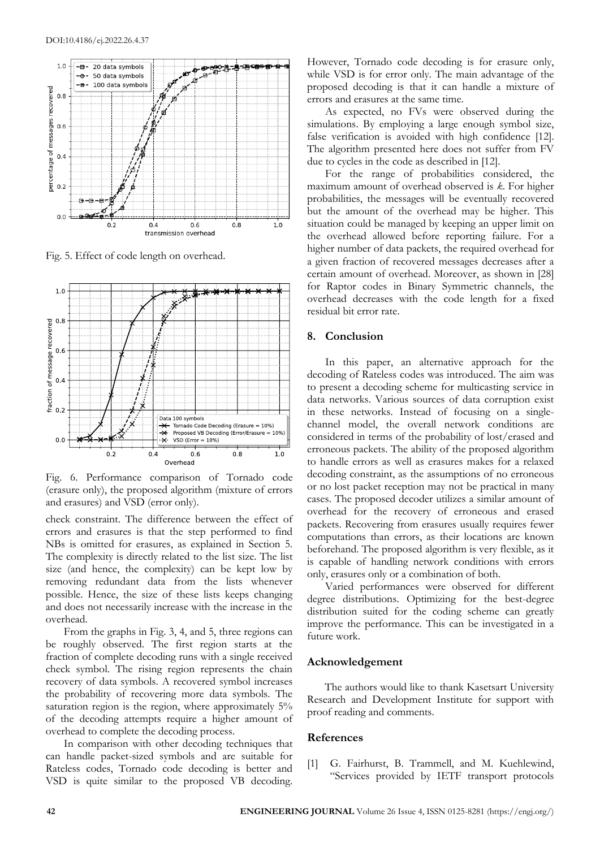

Fig. 5. Effect of code length on overhead.



Fig. 6. Performance comparison of Tornado code (erasure only), the proposed algorithm (mixture of errors and erasures) and VSD (error only).

check constraint. The difference between the effect of errors and erasures is that the step performed to find NBs is omitted for erasures, as explained in Section 5. The complexity is directly related to the list size. The list size (and hence, the complexity) can be kept low by removing redundant data from the lists whenever possible. Hence, the size of these lists keeps changing and does not necessarily increase with the increase in the overhead.

From the graphs in Fig. 3, 4, and 5, three regions can be roughly observed. The first region starts at the fraction of complete decoding runs with a single received check symbol. The rising region represents the chain recovery of data symbols. A recovered symbol increases the probability of recovering more data symbols. The saturation region is the region, where approximately 5% of the decoding attempts require a higher amount of overhead to complete the decoding process.

In comparison with other decoding techniques that can handle packet-sized symbols and are suitable for Rateless codes, Tornado code decoding is better and VSD is quite similar to the proposed VB decoding.

However, Tornado code decoding is for erasure only, while VSD is for error only. The main advantage of the proposed decoding is that it can handle a mixture of errors and erasures at the same time.

As expected, no FVs were observed during the simulations. By employing a large enough symbol size, false verification is avoided with high confidence [12]. The algorithm presented here does not suffer from FV due to cycles in the code as described in [12].

For the range of probabilities considered, the maximum amount of overhead observed is *k*. For higher probabilities, the messages will be eventually recovered but the amount of the overhead may be higher. This situation could be managed by keeping an upper limit on the overhead allowed before reporting failure. For a higher number of data packets, the required overhead for a given fraction of recovered messages decreases after a certain amount of overhead. Moreover, as shown in [28] for Raptor codes in Binary Symmetric channels, the overhead decreases with the code length for a fixed residual bit error rate.

## **8. Conclusion**

In this paper, an alternative approach for the decoding of Rateless codes was introduced. The aim was to present a decoding scheme for multicasting service in data networks. Various sources of data corruption exist in these networks. Instead of focusing on a singlechannel model, the overall network conditions are considered in terms of the probability of lost/erased and erroneous packets. The ability of the proposed algorithm to handle errors as well as erasures makes for a relaxed decoding constraint, as the assumptions of no erroneous or no lost packet reception may not be practical in many cases. The proposed decoder utilizes a similar amount of overhead for the recovery of erroneous and erased packets. Recovering from erasures usually requires fewer computations than errors, as their locations are known beforehand. The proposed algorithm is very flexible, as it is capable of handling network conditions with errors only, erasures only or a combination of both.

Varied performances were observed for different degree distributions. Optimizing for the best-degree distribution suited for the coding scheme can greatly improve the performance. This can be investigated in a future work.

#### **Acknowledgement**

The authors would like to thank Kasetsart University Research and Development Institute for support with proof reading and comments.

## **References**

[1] G. Fairhurst, B. Trammell, and M. Kuehlewind, "Services provided by IETF transport protocols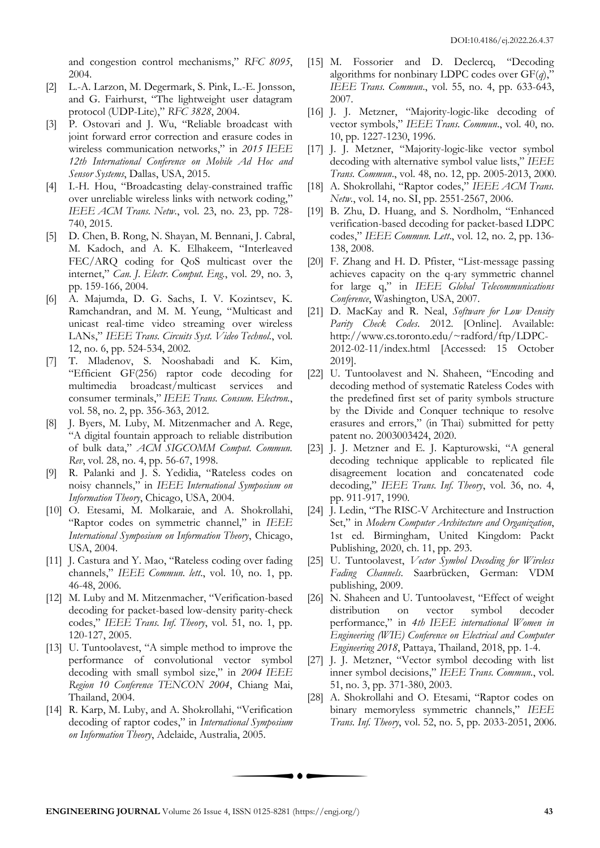and congestion control mechanisms," *RFC 8095*, 2004.

- [2] L.-A. Larzon, M. Degermark, S. Pink, L.-E. Jonsson, and G. Fairhurst, "The lightweight user datagram protocol (UDP-Lite)," *RFC 3828*, 2004.
- [3] P. Ostovari and J. Wu, "Reliable broadcast with joint forward error correction and erasure codes in wireless communication networks," in *2015 IEEE 12th International Conference on Mobile Ad Hoc and Sensor Systems*, Dallas, USA, 2015.
- [4] I.-H. Hou, "Broadcasting delay-constrained traffic over unreliable wireless links with network coding," *IEEE ACM Trans. Netw.*, vol. 23, no. 23, pp. 728- 740, 2015.
- [5] D. Chen, B. Rong, N. Shayan, M. Bennani, J. Cabral, M. Kadoch, and A. K. Elhakeem, "Interleaved FEC/ARQ coding for QoS multicast over the internet," *Can. J. Electr. Comput. Eng.*, vol. 29, no. 3, pp. 159-166, 2004.
- [6] A. Majumda, D. G. Sachs, I. V. Kozintsev, K. Ramchandran, and M. M. Yeung, "Multicast and unicast real-time video streaming over wireless LANs," *IEEE Trans. Circuits Syst. Video Technol.*, vol. 12, no. 6, pp. 524-534, 2002.
- [7] T. Mladenov, S. Nooshabadi and K. Kim, "Efficient GF(256) raptor code decoding for multimedia broadcast/multicast services and consumer terminals," *IEEE Trans. Consum. Electron.*, vol. 58, no. 2, pp. 356-363, 2012.
- [8] J. Byers, M. Luby, M. Mitzenmacher and A. Rege, "A digital fountain approach to reliable distribution of bulk data," *ACM SIGCOMM Comput. Commun. Rev*, vol. 28, no. 4, pp. 56-67, 1998.
- [9] R. Palanki and J. S. Yedidia, "Rateless codes on noisy channels," in *IEEE International Symposium on Information Theory*, Chicago, USA, 2004.
- [10] O. Etesami, M. Molkaraie, and A. Shokrollahi, "Raptor codes on symmetric channel," in *IEEE International Symposium on Information Theory*, Chicago, USA, 2004.
- [11] J. Castura and Y. Mao, "Rateless coding over fading channels," *IEEE Commun. lett*., vol. 10, no. 1, pp. 46-48, 2006.
- [12] M. Luby and M. Mitzenmacher, "Verification-based decoding for packet-based low-density parity-check codes," *IEEE Trans. Inf. Theory*, vol. 51, no. 1, pp. 120-127, 2005.
- [13] U. Tuntoolavest, "A simple method to improve the performance of convolutional vector symbol decoding with small symbol size," in *2004 IEEE Region 10 Conference TENCON 2004*, Chiang Mai, Thailand, 2004.
- [14] R. Karp, M. Luby, and A. Shokrollahi, "Verification decoding of raptor codes," in *International Symposium on Information Theory*, Adelaide, Australia, 2005.
- [15] M. Fossorier and D. Declercq, "Decoding algorithms for nonbinary LDPC codes over GF(*q*)," *IEEE Trans. Commun*., vol. 55, no. 4, pp. 633-643, 2007.
- [16] J. J. Metzner, "Majority-logic-like decoding of vector symbols," *IEEE Trans. Commun*., vol. 40, no. 10, pp. 1227-1230, 1996.
- [17] J. J. Metzner, "Majority-logic-like vector symbol decoding with alternative symbol value lists," *IEEE Trans. Commun*., vol. 48, no. 12, pp. 2005-2013, 2000.
- [18] A. Shokrollahi, "Raptor codes," *IEEE ACM Trans. Netw.*, vol. 14, no. SI, pp. 2551-2567, 2006.
- [19] B. Zhu, D. Huang, and S. Nordholm, "Enhanced verification-based decoding for packet-based LDPC codes," *IEEE Commun. Lett*., vol. 12, no. 2, pp. 136- 138, 2008.
- [20] F. Zhang and H. D. Pfister, "List-message passing achieves capacity on the q-ary symmetric channel for large q," in *IEEE Global Telecommunications Conference*, Washington, USA, 2007.
- [21] D. MacKay and R. Neal, *Software for Low Density Parity Check Codes*. 2012. [Online]. Available: http://www.cs.toronto.edu/~radford/ftp/LDPC-2012-02-11/index.html [Accessed: 15 October 2019].
- [22] U. Tuntoolavest and N. Shaheen, "Encoding and decoding method of systematic Rateless Codes with the predefined first set of parity symbols structure by the Divide and Conquer technique to resolve erasures and errors," (in Thai) submitted for petty patent no. 2003003424, 2020.
- [23] J. J. Metzner and E. J. Kapturowski, "A general decoding technique applicable to replicated file disagreement location and concatenated code decoding," *IEEE Trans. Inf. Theory*, vol. 36, no. 4, pp. 911-917, 1990.
- [24] J. Ledin, "The RISC-V Architecture and Instruction Set," in *Modern Computer Architecture and Organization*, 1st ed. Birmingham, United Kingdom: Packt Publishing, 2020, ch. 11, pp. 293.
- [25] U. Tuntoolavest, *Vector Symbol Decoding for Wireless Fading Channels*. Saarbrücken, German: VDM publishing, 2009.
- [26] N. Shaheen and U. Tuntoolavest, "Effect of weight distribution on vector symbol decoder performance," in *4th IEEE international Women in Engineering (WIE) Conference on Electrical and Computer Engineering 2018*, Pattaya, Thailand, 2018, pp. 1-4.
- [27] J. J. Metzner, "Vector symbol decoding with list inner symbol decisions," *IEEE Trans. Commun.*, vol. 51, no. 3, pp. 371-380, 2003.
- [28] A. Shokrollahi and O. Etesami, "Raptor codes on binary memoryless symmetric channels," *IEEE Trans. Inf. Theory*, vol. 52, no. 5, pp. 2033-2051, 2006.